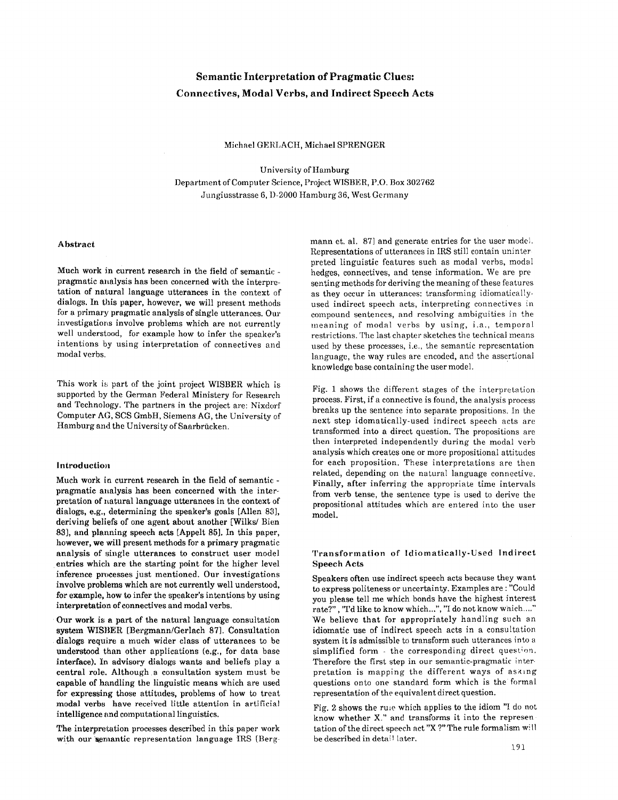# Semantic Interpretation **of Pragmatic** Clues: **Connectives, Modal Verbs, and Indirect Speech Acts**

Michael GERLACH, Michael SPRENGER

University of Hamburg Department of Computer Science, Project WISBER, P.O. Box 302762 Jungiusstrasse 6, I)-2000 Hamburg 36, West Germany

# Abstract

Much work in current research in the field of semantic pragmatic analysis has been concerned with the interpretation of natural language utterances in the context of dialogs. In this paper, however, we will present methods for a primary pragmatic analysis of single utterances. Our investigations involve problems which are not currently well understood, for example how to infer the speaker's intentions by using interpretation of connectives and modal verbs.

This work is part of the joint project WISBER which is supported by the German Federal Ministery for Research and Technology. The partners in the project are: Nixdorf Computer AG, SCS GmbH, Siemens AG, the University of Hamburg and the University of Saarbrücken.

# Introduction

Much work in current research in the field of semantic pragmatic analysis has been concerned with the interpretation of natural language utterances in the context of dialogs, e.g., determining the speaker's goals [Allen 83], deriving beliefs of one agent about another [Wilks/ Bien 83], and planning speech acts [Appelt 85]. In this paper, however, we will present methods for a primary pragmatic analysis of single utterances to construct user model entries which are the starting point for the higher level inference processes just mentioned. Our investigations involve problems which are not currently well understood, for example, how to infer the speaker's intentions by using interpretation of connectives and modal verbs.

Our work is a part of the natural language consultation system WISllER [Bergmann/Gerlach 87]. Consultation dialogs require a much wider class of utterances to be understood than other applications (e.g., for data base interface). In advisory dialogs wants and beliefs play a central role. Although a consultation system must be capable of handling the linguistic means which are used for expressing those attitudes, problems of how to treat **modal** verbs have received little attention in artificial intelligence and computational linguistics.

The interpretation processes described in this paper work with our semantic representation language IRS [Bergmann et. al. 87] and generate entries for the user model. Representations of utterances in IRS still contain uninter preted linguistic features such as modal verbs, modal hedges, connectives, and tense information. We are pre senting methods for deriving the meaning of these features as they occur in utterances: transforming idiomaticallyused indirect speech acts, interpreting connectives in compound sentences, and resolving ambiguities in the meaning of modal verbs by using, i.a., temporal restrictions. The last chapter sketches the technical means used by these processes, i.e., the semantic representation language, the way rules are encoded, and the asscrtional knowledge base containing the user model.

Fig. 1 shows the different stages of the interpretation process. First, if a connective is found, the analysis process breaks up the sentence into separate propositions, in the next step idomatically-used indirect speech acts are transformed into a direct question. The propositions are then interpreted independently during the modal verb analysis which creates one or more propositional attitudes for each proposition. These interpretations arc then related, depending on the natural language connective. Finally, after inferring the appropriate time intervals from verb tense, the sentence type is used to derive the propositional attitudes which are entered into the user model.

### Transformation of Idiomatically-Used Indirect Speech Acts

Speakers often use indirect speech acts because they want to express politeness or uncertainty. Examples are : "Could you please tell me which bonds have the highest interest rate?", "I'd like to know which...", "I do not know which....' We believe that for appropriately handling such an idiomatic use of indirect speech acts in a consultation system it is admissible to transform such utterances into a simplified form  $-$  the corresponding direct question. Therefore the first step in our semantic-pragmatic interpretation is mapping the different ways of asking questions onto one standard form which is the formal representation of the equivalent direct question.

Fig. 2 shows the rule which applies to the idiom "I do not know whether X." and transforms it into the represen tation of the direct speech act "X ?" The rule formalism will be described in detail later.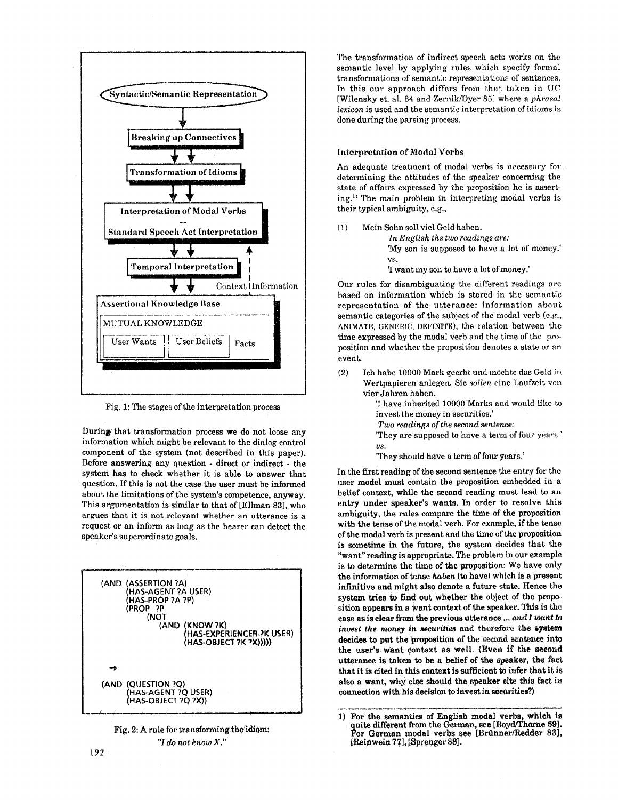

Fig. !: The stages of the interpretation process

During that transformation process we do not loose any information which might be relevant to the dialog control component of the system (not described in this paper). Before answering any question - direct or indirect - the system has to check whether it is able to answer that question. If this is not the ease the user must be informed about the limitations of the system's competence, anyway. This argumentation is similar to that of [Ellman 83], who argues that it is not relevant whether an utterance is a request or an inform as long as the hearer can detect the speaker's superordinate goals.





The transformation of indirect speech acts works on the semantic level by applying rules which specify formal transformations of semantic representations of sentences. In this our approach differs from that taken in UC [Wilensky et. al. 84 and ZernikfDyer 85] where a *phrasal lexicon* is used and the semantic interpretation of idioms is done during the parsing process.

# Interpretation of Modal Verbs

An adequate treatment of modal verbs is necessary for determining the attitudes of the speaker concerning the state of affairs expressed by the proposition he is asserting.<sup>1)</sup> The main problem in interpreting modal verbs is their typical ambiguity, e.g.,

(1) Mein Sohn soll viel Geld haben. *In English the two readings are:* 

'My son is supposed to have a lot of money.' VS.

'I want my son to have a lot of money.'

Our rules for disambiguating the different readings are based on information which is stored in the semantic representation of the utterance: information about semantic categories of the subject of the modal verb (e.g., ANIMATE, GENERIC, DEFINITE), the relation between the time expressed by the modal verb and the time of the proposition and whether the proposition denotes a state or an event.

(2) Ich habe 10000 Mark geerbt und m6chte das Geld ir~ Wertpapieren anlegem Sic *sollen* eine Laufzeit yon vier Jahren haben.

> 'I have inherited 10000 Marks and would like to invest the money in securities.'

- *Two readings of the second sentence:*
- "They are supposed to have a term of four years." VS.

"They should have a term of four years."

In the first reading of the second sentence the entry for the user model must contain the proposition embedded in a belief context, while the second reading must lead to an entry under speaker's wants. In order to resolve this ambiguity, the rules compare the time of the proposition with the tense of the modal verb. For example, if the tense of the modal verb is present and the time of the proposition is sometime in the future, the system decides that the "want" reading is appropriate. The problem in our example is to determine the time of the proposition: We have only the information of tense *haben (to* have) which is a present infinitive and might also denote a future state. Hence the system tries to find out whether the object of the proposition appears in a Want context of the speaker. This is the case as is clear from the previous utterance ... and I want to *invest the money in securities* and therefore the system decides to put the proposition of the second sentence into the user's want context as well. (Even if the second utterance is taken to be a belief of the speaker, the fact that it is cited in this context is sufficient to infer that it is also a want, why else should the speaker cite this fact in connection with his decision to invest in securities?)

<sup>1)</sup> For the semantics of English modal verbs, which is quite different from the German, see [Boyd/Thorne 69]. For German modal verbs see [Brttnner/Redder 83], [Reinwein 77], [Sprenger 88].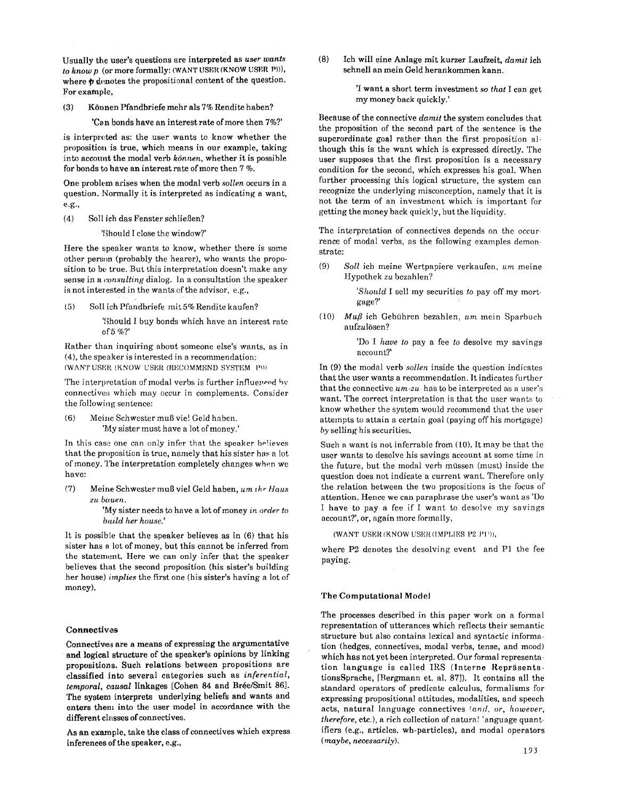Usually the user's questions are interpreted as *user wants to knowp* (or more formally: (WANT USER (KNOW USER P))), where  $\phi$  denotes the propositional content of the question. For example,

(3) K0nnen Pfandbriefe mehr als 7% Rendite haben?

'Can bonds have an interest rate of more then 7%?'

is interpreted as: the user wants to know whether the proposition is true, which means in our example, taking into account the modal verb  $k\ddot{\circ}$  whether it is possible for bonds to have an interest rate of more then  $7\%$ .

One problem arises when the modal verb *sollen* occurs in a question. Normally it is interpreted as indicating a want, e.g.,

(4) Soll ich das Fenster schließen?

'Should I close the window?'

Here the speaker wants to know, whether there is some other person (probably the hearer), who wants the proposition to be true. But this interpretation doesn't make any sense in a *consulting* dialog. In a consultation the speaker is not interested in the wants of the advisor, e.g.,

(5) Soll ich Pfandbriefe mit 5% Rendite kaufen?

'Should I buy bonds which have an interest rate of 5 %?'

Rather than inquiring about someone else's wants, as in (4), the speaker is interested in a recommendation: *(WANT USER (KNOW USER (RECOMMEND SYSTEM P)))* 

The interpretation of modal verbs is further influenced by connectives which may occur in complements. Consider the following sentence:

(6) Meine Schwester muß viel Geld haben. 'My sister must have a lot of money.'

In this case one can only infer that the speaker believes that the proposition is true, namely that his sister has a lot of money. The interpretation completely changes when we have:

(7) Meine Schwester mug viel Geld haben, *um th~ Haus zu bauen.* 

> 'My sister needs to have a lot of money *in order to bnild her house.'*

It is possible that the speaker believes as in (6) that his sister has a lot of money, but this cannot be inferred from the statement. Here we can only infer that the speaker believes that the second proposition (his sister's building her house) *implies* the first one (his sister's having a lot of money).

# **Connectivos**

Connectives are a means of expressing the argumentative and logical structure of the speaker's opinions by linking' propositions. Such relations between propositions are classified into several categories such as *inferential, temporal, causal linkages* [Cohen 84 and Brée/Smit 86]. The system interprets underlying beliefs and wants and enters them into the user nmdel in accordance with the **different** classes of connectives.

As an example, take the class of connectives which express inferences of the speaker, e.g.,

(8) Ich will eine Anlage mit kurzer Laufzeit, *damit* ich schnell an mein Geld herankommen kann.

> 'i want a short term investment *so that* I can get my money back quickly.'

Because of the connective *damit the* system concludes that the proposition of the second part of the sentence is the superordinate goal rather than the first proposition although this is the want which is expressed directly. The user supposes that the first proposition is a necessary condition for the second, which expresses his goal. When further processing this logical structure, the system can recognize the underlying misconception, namely that it is not the term of an investment which is important for getting the money back quickly, but the liquidity.

The interpretation of connectives depends on the occurrence of modal verbs, as the following examples demonstrate:

(9) *Soll* ich meine Wertpapiere verkaufen, *urn* racine Hypothek zu bezahlen?

> *'Should* I sell my securities *to* pay off my mortgage?'

(10) *Muff* ich Gebtihren bezahlen, *um* mein Sparbuch aufzulösen?

> 'Do I *have to* pay a fee *to* desolve my savings account?'

In (9) the modal verb *sollen* inside the question indicates that the user wants a recommendation. It indicates further that the connective *um-zu* has to be interpreted as a user's want. The correct interpretation is that the user wants to know whether the system would recommend that the user attempts to attain a certain goal (paying off his mortgage) *by* selling his securities.

Such a want is not inferrable from (10). It may be that the user wants to desolve his savings account at some time in the future, but the modal verb müssen (must) inside the question does not indicate a current want. Therefore only the relation between the two propositions is the focus of attention. Hence we can paraphrase the user's want as 'Do I have to pay a fee if I want to desolve my savings account?', or, again more formally,

(WANT USER (KNOW USER (IMPLIES P2 PLY)),

where P2 denotes the desolving event and P1 the fee paying.

# The Computational **Model**

The processes described in this paper work on a formal representation of utterances which reflects their semantic structure but also contains lexical and syntactic information (hedges, connectives, modal verbs, tense, and mood) which has not yet been interpreted. Our formal representation language is called IRS (Interne RepräsentationsSprache, [Bergmann et. al. 87]). It contains all the standard operators of predicate calculus, formalisms for expressing propositional attitudes, modalities, and speech acts, natural language connectives *(and. or, however, therefore, etc.), a rich collection of natural language quant*ifiers (e.g., articles, wh-particles), and modal operators *(maybe, necessarily).*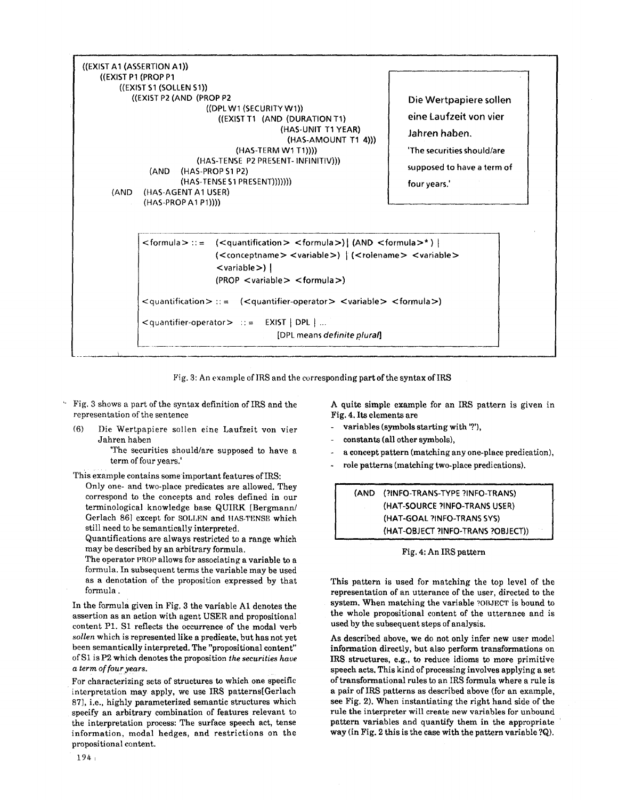

Fig. 3: An example of IRS and the corresponding part of the syntax of IRS

- Fig. 3 shows a part of the syntax definition of IRS and the representation of the sentence
- (6) Die Wertpapiere sollen eine Laufzeit yon vier Jahren haben

'The securities should/are supposed to have a term of four years.'

This example contains some important features of IRS:

Only one- and two-place predicates are allowed. They correspond to the concepts and roles defined in our terminological knowledge base QUIRK [Bergmann/ Gerlach 86] except for SOLLEN and HAS-TENSE which still need to be semantically interpreted.

Quantifications are always restricted to a range which may be described by an arbitrary formula.

The operator PROP allows for associating a variable to a formula. In subsequent terms the variable may be used as a denotation of the proposition expressed by that formula.

In the formula given in Fig. 3 the variable A1 denotes the assertion as an action with agent USER and propositional content P1. \$1 reflects the occurrence of the modal verb *sollen* which is represented like a predicate, but has not yet been semantically interpreted. The "propositional content" of S1 is P2 which denotes the proposition *the securities have a term offouryears.* 

For characterizing sets of structures to which one specific interpretation may apply, we use IRS patterns[Gerlach 87], i.e., highly parameterized semantic structures which specify an arbitrary combination of features relevant to the interpretation process: The surface speech act, tense information, modal hedges, and restrictions on the propositional content.

A quite simple example for an IRS pattern is given in Fig. 4. Its elements are

- variables (symbols starting with '?'),
- constants (all other symbols),
- a concept pattern (matching any one-place predication),
- role patterns (matching two-place predications).

(AND (?INFO-TRANS-TYPE ?INFO-TRANS) (HAT-SOURCE ?INFO-TRANS USER) (HAT-GOAL ?INFO-TRANS SYS) (HAT-OBJECT ?INFO-TRANS ?OBJECT))

# Fig. 4: An IRS pattern

This pattern is used for matching the top level of the representation of an utterance of the user, directed to the system. When matching the variable ?OBJECT is bound to the whole propositional content of the utterance and is used by the subsequent steps of analysis.

As described above, we do not only infer new user model information directly, but also perform transformations on IRS structures, e.g., to reduce idioms to more primitive speech acts. This kind of processing involves applying a set of transformational rules to an IRS formula where a rule is a pair of IRS patterns as described above (for an example, see Fig. 2). When instantiating the right hand side of the rule the interpreter will create new variables for unbound pattern variables and quantify them in the appropriate way (in Fig. 2 this is the case with the pattern variable ?Q).